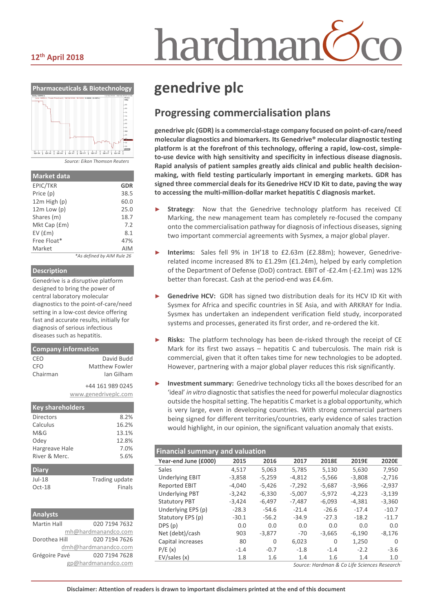# iardmai

### **12th April 2018**



| <b>Market data</b> |                            |
|--------------------|----------------------------|
| EPIC/TKR           | <b>GDR</b>                 |
| Price (p)          | 38.5                       |
| 12m High (p)       | 60.0                       |
| $12m$ Low $(p)$    | 25.0                       |
| Shares (m)         | 18.7                       |
| Mkt Cap (£m)       | 7.2                        |
| $EV$ ( $Em$ )      | 8.1                        |
| Free Float*        | 47%                        |
| Market             | <b>AIM</b>                 |
|                    | *As defined by AIM Rule 26 |

#### **Description**

Genedrive is a disruptive platform designed to bring the power of central laboratory molecular diagnostics to the point-of-care/need setting in a low-cost device offering fast and accurate results, initially for diagnosis of serious infectious diseases such as hepatitis.

| <b>Company information</b>               |                |  |  |  |
|------------------------------------------|----------------|--|--|--|
| CEO                                      | David Budd     |  |  |  |
| <b>CFO</b>                               | Matthew Fowler |  |  |  |
| Chairman                                 | Ian Gilham     |  |  |  |
| +44 161 989 0245<br>www.genedriveplc.com |                |  |  |  |
| <b>Key shareholders</b>                  |                |  |  |  |
| <b>Directors</b>                         | 8.2%           |  |  |  |
| Calculus                                 | 16.2%          |  |  |  |
| M&G<br>13.1%                             |                |  |  |  |

| Odev           | 12.8%          |
|----------------|----------------|
| Hargreave Hale | 7.0%           |
| River & Merc.  | 5.6%           |
|                |                |
| <b>Diary</b>   |                |
| $Jul-18$       | Trading update |
| Oct-18         | Finals         |

| <b>Analysts</b>    |                      |
|--------------------|----------------------|
| <b>Martin Hall</b> | 020 7194 7632        |
|                    | mh@hardmanandco.com  |
| Dorothea Hill      | 020 7194 7626        |
|                    | dmh@hardmanandco.com |
| Grégoire Pavé      | 020 7194 7628        |
|                    | gp@hardmanandco.com  |

### **genedrive plc**

### **Progressing commercialisation plans**

**genedrive plc (GDR) is a commercial-stage company focused on point-of-care/need molecular diagnostics and biomarkers. Its Genedrive® molecular diagnostic testing platform is at the forefront of this technology, offering a rapid, low-cost, simpleto-use device with high sensitivity and specificity in infectious disease diagnosis. Rapid analysis of patient samples greatly aids clinical and public health decisionmaking, with field testing particularly important in emerging markets. GDR has signed three commercial deals for its Genedrive HCV ID Kit to date, paving the way to accessing the multi-million-dollar market hepatitis C diagnosis market.**

- Strategy: Now that the Genedrive technology platform has received CE Marking, the new management team has completely re-focused the company onto the commercialisation pathway for diagnosis of infectious diseases, signing two important commercial agreements with Sysmex, a major global player.
- ► **Interims:** Sales fell 9% in 1H'18 to £2.63m (£2.88m); however, Genedriverelated income increased 8% to £1.29m (£1.24m), helped by early completion of the Department of Defense (DoD) contract. EBIT of -£2.4m (-£2.1m) was 12% better than forecast. Cash at the period-end was £4.6m.
- Genedrive HCV: GDR has signed two distribution deals for its HCV ID Kit with Sysmex for Africa and specific countries in SE Asia, and with ARKRAY for India. Sysmex has undertaken an independent verification field study, incorporated systems and processes, generated its first order, and re-ordered the kit.
- Risks: The platform technology has been de-risked through the receipt of CE Mark for its first two assays – hepatitis C and tuberculosis. The main risk is commercial, given that it often takes time for new technologies to be adopted. However, partnering with a major global player reduces this risk significantly.
- **Investment summary:** Genedrive technology ticks all the boxes described for an 'ideal' *in vitro* diagnostic that satisfies the need for powerful molecular diagnostics outside the hospital setting. The hepatitis C market is a global opportunity, which is very large, even in developing countries. With strong commercial partners being signed for different territories/countries, early evidence of sales traction would highlight, in our opinion, the significant valuation anomaly that exists.

| 2018E<br>2019E<br>2020E          |
|----------------------------------|
|                                  |
| 5,630<br>7,950<br>5,130          |
| $-5,566$<br>$-3,808$<br>$-2,716$ |
| $-2,937$<br>$-5.687$<br>$-3.966$ |
| $-4,223$<br>$-5,972$<br>$-3,139$ |
| $-6,093$<br>$-4,381$<br>$-3,360$ |
| $-26.6$<br>$-17.4$<br>$-10.7$    |
| $-27.3$<br>$-18.2$<br>$-11.7$    |
| 0.0<br>0.0<br>0.0                |
| $-6,190$<br>$-8,176$<br>$-3,665$ |
| 1,250<br>0<br>$\Omega$           |
| $-3.6$<br>$-2.2$<br>$-1.4$       |
| 1.6<br>1.4<br>1.0                |
|                                  |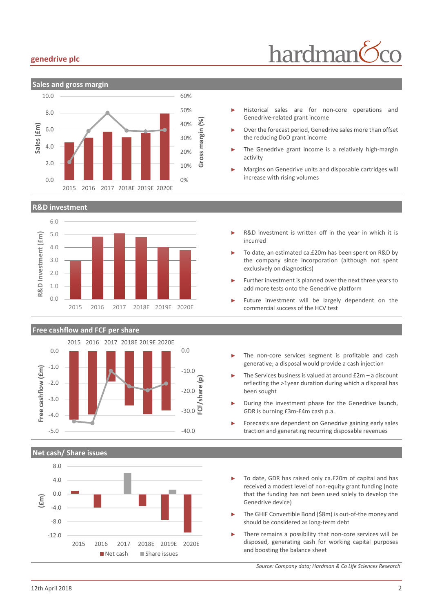#### **genedrive plc**



#### **R&D investment**





**Net cash/ Share issues**



- Historical sales are for non-core operations and Genedrive-related grant income
- Over the forecast period, Genedrive sales more than offset the reducing DoD grant income
- The Genedrive grant income is a relatively high-margin activity
- Margins on Genedrive units and disposable cartridges will increase with rising volumes
- R&D investment is written off in the year in which it is incurred
- To date, an estimated ca.£20m has been spent on R&D by the company since incorporation (although not spent exclusively on diagnostics)
- Further investment is planned over the next three years to add more tests onto the Genedrive platform
- Future investment will be largely dependent on the commercial success of the HCV test
- The non-core services segment is profitable and cash generative; a disposal would provide a cash injection
- The Services business is valued at around  $£2m a$  discount reflecting the >1year duration during which a disposal has been sought
- During the investment phase for the Genedrive launch, GDR is burning £3m-£4m cash p.a.
- ► Forecasts are dependent on Genedrive gaining early sales traction and generating recurring disposable revenues
- To date, GDR has raised only ca.£20m of capital and has received a modest level of non-equity grant funding (note that the funding has not been used solely to develop the Genedrive device)
- The GHIF Convertible Bond (\$8m) is out-of-the money and should be considered as long-term debt
- There remains a possibility that non-core services will be disposed, generating cash for working capital purposes and boosting the balance sheet

*Source: Company data; Hardman & Co Life Sciences Research*

# hardman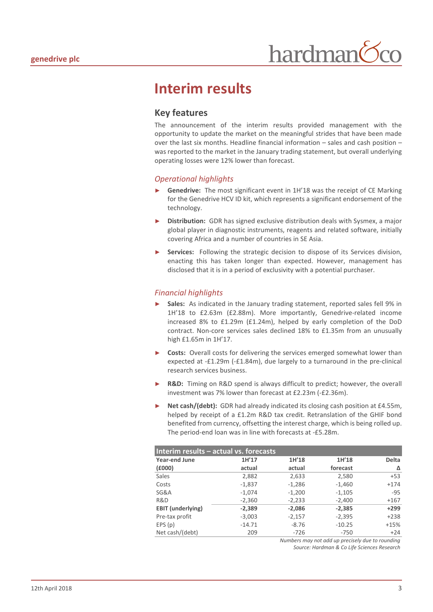### **Interim results**

### **Key features**

The announcement of the interim results provided management with the opportunity to update the market on the meaningful strides that have been made over the last six months. Headline financial information – sales and cash position – was reported to the market in the January trading statement, but overall underlying operating losses were 12% lower than forecast.

#### *Operational highlights*

- **Genedrive:** The most significant event in 1H'18 was the receipt of CE Marking for the Genedrive HCV ID kit, which represents a significant endorsement of the technology.
- **Distribution:** GDR has signed exclusive distribution deals with Sysmex, a major global player in diagnostic instruments, reagents and related software, initially covering Africa and a number of countries in SE Asia.
- Services: Following the strategic decision to dispose of its Services division, enacting this has taken longer than expected. However, management has disclosed that it is in a period of exclusivity with a potential purchaser.

#### *Financial highlights*

- ► **Sales:** As indicated in the January trading statement, reported sales fell 9% in 1H'18 to £2.63m (£2.88m). More importantly, Genedrive-related income increased 8% to £1.29m (£1.24m), helped by early completion of the DoD contract. Non-core services sales declined 18% to £1.35m from an unusually high £1.65m in 1H'17.
- **Costs:** Overall costs for delivering the services emerged somewhat lower than expected at -£1.29m (-£1.84m), due largely to a turnaround in the pre-clinical research services business.
- **R&D:** Timing on R&D spend is always difficult to predict; however, the overall investment was 7% lower than forecast at £2.23m (-£2.36m).
- Net cash/(debt): GDR had already indicated its closing cash position at £4.55m, helped by receipt of a £1.2m R&D tax credit. Retranslation of the GHIF bond benefited from currency, offsetting the interest charge, which is being rolled up. The period-end loan was in line with forecasts at -£5.28m.

| Interim results - actual vs. forecasts |          |          |          |              |  |  |
|----------------------------------------|----------|----------|----------|--------------|--|--|
| <b>Year-end June</b>                   | 1H'17    | 1H'18    | 1H'18    | <b>Delta</b> |  |  |
| (£000)                                 | actual   | actual   | forecast | Δ            |  |  |
| Sales                                  | 2,882    | 2,633    | 2,580    | $+53$        |  |  |
| Costs                                  | $-1,837$ | $-1,286$ | $-1,460$ | $+174$       |  |  |
| SG&A                                   | $-1,074$ | $-1,200$ | $-1,105$ | $-95$        |  |  |
| R&D                                    | $-2,360$ | $-2,233$ | $-2,400$ | $+167$       |  |  |
| <b>EBIT</b> (underlying)               | $-2,389$ | $-2,086$ | $-2,385$ | $+299$       |  |  |
| Pre-tax profit                         | $-3,003$ | $-2,157$ | $-2,395$ | $+238$       |  |  |
| EPS(p)                                 | $-14.71$ | $-8.76$  | $-10.25$ | $+15%$       |  |  |
| Net cash/(debt)                        | 209      | $-726$   | $-750$   | $+24$        |  |  |

*Numbers may not add up precisely due to rounding Source: Hardman & Co Life Sciences Research*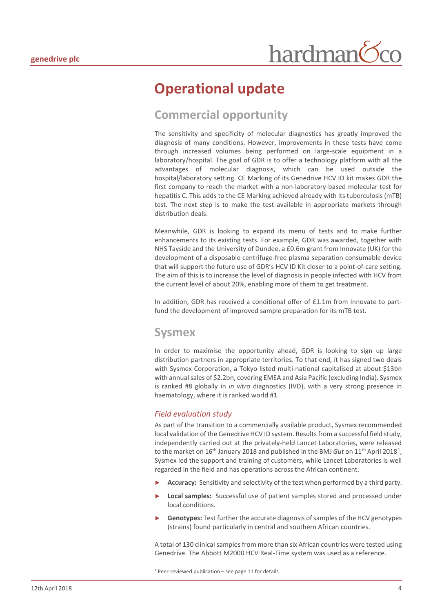### **Operational update**

### **Commercial opportunity**

The sensitivity and specificity of molecular diagnostics has greatly improved the diagnosis of many conditions. However, improvements in these tests have come through increased volumes being performed on large-scale equipment in a laboratory/hospital. The goal of GDR is to offer a technology platform with all the advantages of molecular diagnosis, which can be used outside the hospital/laboratory setting. CE Marking of its Genedrive HCV ID kit makes GDR the first company to reach the market with a non-laboratory-based molecular test for hepatitis C. This adds to the CE Marking achieved already with its tuberculosis (mTB) test. The next step is to make the test available in appropriate markets through distribution deals.

Meanwhile, GDR is looking to expand its menu of tests and to make further enhancements to its existing tests. For example, GDR was awarded, together with NHS Tayside and the University of Dundee, a £0.6m grant from Innovate (UK) for the development of a disposable centrifuge-free plasma separation consumable device that will support the future use of GDR's HCV ID Kit closer to a point-of-care setting. The aim of this is to increase the level of diagnosis in people infected with HCV from the current level of about 20%, enabling more of them to get treatment.

In addition, GDR has received a conditional offer of £1.1m from Innovate to partfund the development of improved sample preparation for its mTB test.

### **Sysmex**

In order to maximise the opportunity ahead, GDR is looking to sign up large distribution partners in appropriate territories. To that end, it has signed two deals with Sysmex Corporation, a Tokyo-listed multi-national capitalised at about \$13bn with annual sales of \$2.2bn, covering EMEA and Asia Pacific (excluding India). Sysmex is ranked #8 globally in *in vitro* diagnostics (IVD), with a very strong presence in haematology, where it is ranked world #1.

#### *Field evaluation study*

As part of the transition to a commercially available product, Sysmex recommended local validation of the Genedrive HCV ID system. Results from a successful field study, independently carried out at the privately-held Lancet Laboratories, were released to the market on [1](#page-3-0)6<sup>th</sup> January 2018 and published in the BMJ *Gut* on 11<sup>th</sup> April 2018<sup>1</sup>, Sysmex led the support and training of customers, while Lancet Laboratories is well regarded in the field and has operations across the African continent.

- **Accuracy:** Sensitivity and selectivity of the test when performed by a third party.
- ► **Local samples:** Successful use of patient samples stored and processed under local conditions.
- ► **Genotypes:** Test further the accurate diagnosis of samples of the HCV genotypes (strains) found particularly in central and southern African countries.

A total of 130 clinical samples from more than six African countries were tested using Genedrive. The Abbott M2000 HCV Real-Time system was used as a reference.

<span id="page-3-0"></span> $1$  Peer-reviewed publication – see page 11 for details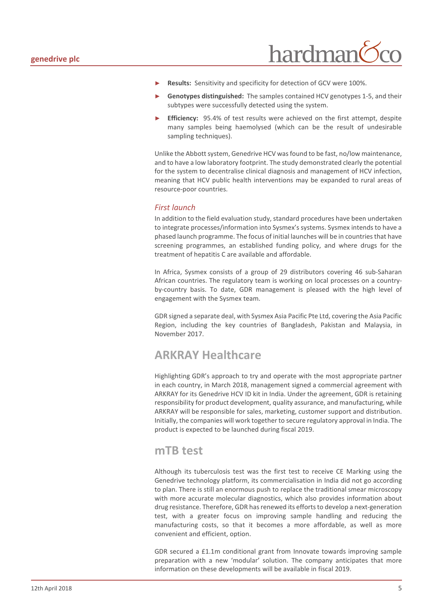

- Results: Sensitivity and specificity for detection of GCV were 100%.
- Genotypes distinguished: The samples contained HCV genotypes 1-5, and their subtypes were successfully detected using the system.
- **Efficiency:** 95.4% of test results were achieved on the first attempt, despite many samples being haemolysed (which can be the result of undesirable sampling techniques).

Unlike the Abbott system, Genedrive HCV was found to be fast, no/low maintenance, and to have a low laboratory footprint. The study demonstrated clearly the potential for the system to decentralise clinical diagnosis and management of HCV infection, meaning that HCV public health interventions may be expanded to rural areas of resource-poor countries.

#### *First launch*

In addition to the field evaluation study, standard procedures have been undertaken to integrate processes/information into Sysmex's systems. Sysmex intends to have a phased launch programme. The focus of initial launches will be in countries that have screening programmes, an established funding policy, and where drugs for the treatment of hepatitis C are available and affordable.

In Africa, Sysmex consists of a group of 29 distributors covering 46 sub-Saharan African countries. The regulatory team is working on local processes on a countryby-country basis. To date, GDR management is pleased with the high level of engagement with the Sysmex team.

GDR signed a separate deal, with Sysmex Asia Pacific Pte Ltd, covering the Asia Pacific Region, including the key countries of Bangladesh, Pakistan and Malaysia, in November 2017.

### **ARKRAY Healthcare**

Highlighting GDR's approach to try and operate with the most appropriate partner in each country, in March 2018, management signed a commercial agreement with ARKRAY for its Genedrive HCV ID kit in India. Under the agreement, GDR is retaining responsibility for product development, quality assurance, and manufacturing, while ARKRAY will be responsible for sales, marketing, customer support and distribution. Initially, the companies will work together to secure regulatory approval in India. The product is expected to be launched during fiscal 2019.

#### **mTB test**

Although its tuberculosis test was the first test to receive CE Marking using the Genedrive technology platform, its commercialisation in India did not go according to plan. There is still an enormous push to replace the traditional smear microscopy with more accurate molecular diagnostics, which also provides information about drug resistance. Therefore, GDR has renewed its efforts to develop a next-generation test, with a greater focus on improving sample handling and reducing the manufacturing costs, so that it becomes a more affordable, as well as more convenient and efficient, option.

GDR secured a £1.1m conditional grant from Innovate towards improving sample preparation with a new 'modular' solution. The company anticipates that more information on these developments will be available in fiscal 2019.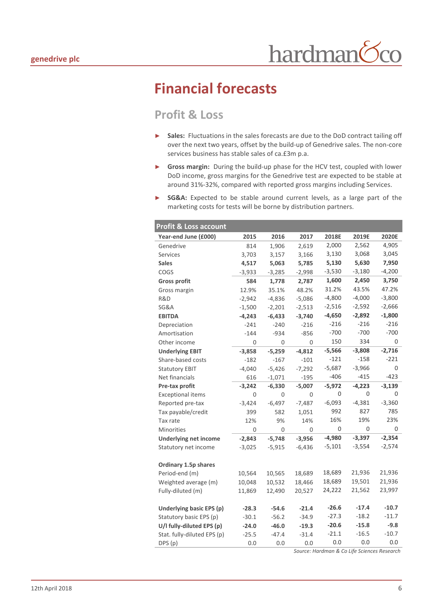### **Financial forecasts**

### **Profit & Loss**

- ► **Sales:** Fluctuations in the sales forecasts are due to the DoD contract tailing off over the next two years, offset by the build-up of Genedrive sales. The non-core services business has stable sales of ca.£3m p.a.
- ► **Gross margin:** During the build-up phase for the HCV test, coupled with lower DoD income, gross margins for the Genedrive test are expected to be stable at around 31%-32%, compared with reported gross margins including Services.
- SG&A: Expected to be stable around current levels, as a large part of the marketing costs for tests will be borne by distribution partners.

| <b>Profit &amp; Loss account</b> |          |          |          |          |          |          |
|----------------------------------|----------|----------|----------|----------|----------|----------|
| Year-end June (£000)             | 2015     | 2016     | 2017     | 2018E    | 2019E    | 2020E    |
| Genedrive                        | 814      | 1,906    | 2,619    | 2,000    | 2,562    | 4,905    |
| <b>Services</b>                  | 3,703    | 3,157    | 3,166    | 3,130    | 3,068    | 3,045    |
| <b>Sales</b>                     | 4,517    | 5,063    | 5,785    | 5,130    | 5,630    | 7,950    |
| COGS                             | $-3,933$ | $-3,285$ | $-2,998$ | $-3,530$ | $-3,180$ | $-4,200$ |
| <b>Gross profit</b>              | 584      | 1,778    | 2,787    | 1,600    | 2,450    | 3,750    |
| Gross margin                     | 12.9%    | 35.1%    | 48.2%    | 31.2%    | 43.5%    | 47.2%    |
| R&D                              | $-2,942$ | $-4,836$ | $-5,086$ | $-4,800$ | $-4,000$ | $-3,800$ |
| SG&A                             | $-1,500$ | $-2,201$ | $-2,513$ | $-2,516$ | $-2,592$ | $-2,666$ |
| <b>EBITDA</b>                    | $-4,243$ | $-6,433$ | $-3,740$ | $-4,650$ | $-2,892$ | $-1,800$ |
| Depreciation                     | $-241$   | $-240$   | $-216$   | $-216$   | $-216$   | $-216$   |
| Amortisation                     | $-144$   | $-934$   | $-856$   | $-700$   | $-700$   | $-700$   |
| Other income                     | 0        | 0        | 0        | 150      | 334      | 0        |
| <b>Underlying EBIT</b>           | $-3,858$ | $-5,259$ | $-4,812$ | $-5,566$ | $-3,808$ | $-2,716$ |
| Share-based costs                | $-182$   | $-167$   | $-101$   | $-121$   | $-158$   | $-221$   |
| <b>Statutory EBIT</b>            | $-4,040$ | $-5,426$ | $-7,292$ | $-5,687$ | $-3,966$ | 0        |
| Net financials                   | 616      | $-1,071$ | $-195$   | $-406$   | $-415$   | $-423$   |
| Pre-tax profit                   | $-3,242$ | $-6,330$ | $-5,007$ | $-5,972$ | $-4,223$ | $-3,139$ |
| <b>Exceptional items</b>         | 0        | 0        | 0        | 0        | 0        | 0        |
| Reported pre-tax                 | $-3,424$ | $-6,497$ | $-7,487$ | $-6,093$ | $-4,381$ | $-3,360$ |
| Tax payable/credit               | 399      | 582      | 1,051    | 992      | 827      | 785      |
| Tax rate                         | 12%      | 9%       | 14%      | 16%      | 19%      | 23%      |
| <b>Minorities</b>                | 0        | 0        | 0        | 0        | 0        | 0        |
| <b>Underlying net income</b>     | $-2,843$ | $-5,748$ | $-3,956$ | $-4,980$ | $-3,397$ | $-2,354$ |
| Statutory net income             | $-3,025$ | $-5,915$ | $-6,436$ | $-5,101$ | $-3,554$ | $-2,574$ |
|                                  |          |          |          |          |          |          |
| Ordinary 1.5p shares             |          |          |          |          |          |          |
| Period-end (m)                   | 10,564   | 10,565   | 18,689   | 18,689   | 21,936   | 21,936   |
| Weighted average (m)             | 10,048   | 10,532   | 18,466   | 18,689   | 19,501   | 21,936   |
| Fully-diluted (m)                | 11,869   | 12,490   | 20,527   | 24,222   | 21,562   | 23,997   |
|                                  |          |          |          |          |          |          |
| Underlying basic EPS (p)         | $-28.3$  | $-54.6$  | $-21.4$  | $-26.6$  | $-17.4$  | $-10.7$  |
| Statutory basic EPS (p)          | $-30.1$  | $-56.2$  | $-34.9$  | $-27.3$  | $-18.2$  | $-11.7$  |
| U/I fully-diluted EPS (p)        | $-24.0$  | $-46.0$  | $-19.3$  | $-20.6$  | $-15.8$  | $-9.8$   |
| Stat. fully-diluted EPS (p)      | $-25.5$  | $-47.4$  | $-31.4$  | $-21.1$  | $-16.5$  | $-10.7$  |
| DPS (p)                          | 0.0      | 0.0      | 0.0      | 0.0      | 0.0      | 0.0      |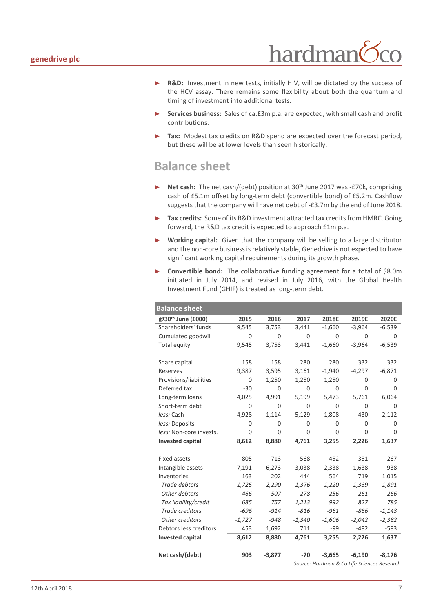

- ► **R&D:** Investment in new tests, initially HIV, will be dictated by the success of the HCV assay. There remains some flexibility about both the quantum and timing of investment into additional tests.
- ► **Services business:** Sales of ca.£3m p.a. are expected, with small cash and profit contributions.
- Tax: Modest tax credits on R&D spend are expected over the forecast period, but these will be at lower levels than seen historically.

### **Balance sheet**

- **Net cash:** The net cash/(debt) position at 30<sup>th</sup> June 2017 was -£70k, comprising cash of £5.1m offset by long-term debt (convertible bond) of £5.2m. Cashflow suggests that the company will have net debt of -£3.7m by the end of June 2018.
- ► **Tax credits:** Some of its R&D investment attracted tax credits from HMRC. Going forward, the R&D tax credit is expected to approach £1m p.a.
- ► **Working capital:** Given that the company will be selling to a large distributor and the non-core business is relatively stable, Genedrive is not expected to have significant working capital requirements during its growth phase.
- ► **Convertible bond:** The collaborative funding agreement for a total of \$8.0m initiated in July 2014, and revised in July 2016, with the Global Health Investment Fund (GHIF) is treated as long-term debt.

| <b>Balance sheet</b>    |          |          |          |          |          |          |
|-------------------------|----------|----------|----------|----------|----------|----------|
| @30th June (£000)       | 2015     | 2016     | 2017     | 2018E    | 2019E    | 2020E    |
| Shareholders' funds     | 9,545    | 3,753    | 3,441    | $-1,660$ | $-3,964$ | $-6,539$ |
| Cumulated goodwill      | 0        | $\Omega$ | $\Omega$ | 0        | 0        | 0        |
| Total equity            | 9,545    | 3,753    | 3,441    | $-1,660$ | $-3,964$ | $-6,539$ |
|                         |          |          |          |          |          |          |
| Share capital           | 158      | 158      | 280      | 280      | 332      | 332      |
| Reserves                | 9,387    | 3,595    | 3,161    | $-1,940$ | $-4,297$ | $-6,871$ |
| Provisions/liabilities  | 0        | 1,250    | 1,250    | 1,250    | 0        | 0        |
| Deferred tax            | $-30$    | 0        | 0        | 0        | $\Omega$ | 0        |
| Long-term loans         | 4,025    | 4,991    | 5,199    | 5,473    | 5,761    | 6,064    |
| Short-term debt         | 0        | 0        | 0        | 0        | 0        | 0        |
| less: Cash              | 4,928    | 1,114    | 5,129    | 1,808    | $-430$   | $-2,112$ |
| less: Deposits          | 0        | 0        | $\Omega$ | 0        | $\Omega$ | 0        |
| less: Non-core invests. | 0        | $\Omega$ | 0        | $\Omega$ | $\Omega$ | $\Omega$ |
| <b>Invested capital</b> | 8,612    | 8,880    | 4,761    | 3,255    | 2,226    | 1,637    |
|                         |          |          |          |          |          |          |
| <b>Fixed assets</b>     | 805      | 713      | 568      | 452      | 351      | 267      |
| Intangible assets       | 7,191    | 6,273    | 3,038    | 2,338    | 1,638    | 938      |
| Inventories             | 163      | 202      | 444      | 564      | 719      | 1,015    |
| Trade debtors           | 1,725    | 2,290    | 1,376    | 1,220    | 1,339    | 1,891    |
| Other debtors           | 466      | 507      | 278      | 256      | 261      | 266      |
| Tax liability/credit    | 685      | 757      | 1,213    | 992      | 827      | 785      |
| Trade creditors         | $-696$   | $-914$   | $-816$   | $-961$   | $-866$   | $-1,143$ |
| Other creditors         | $-1,727$ | $-948$   | $-1,340$ | $-1,606$ | $-2,042$ | $-2,382$ |
| Debtors less creditors  | 453      | 1,692    | 711      | -99      | $-482$   | $-583$   |
| <b>Invested capital</b> | 8,612    | 8,880    | 4,761    | 3,255    | 2,226    | 1,637    |
|                         |          |          |          |          |          |          |
| Net cash/(debt)         | 903      | $-3,877$ | $-70$    | $-3,665$ | $-6,190$ | $-8,176$ |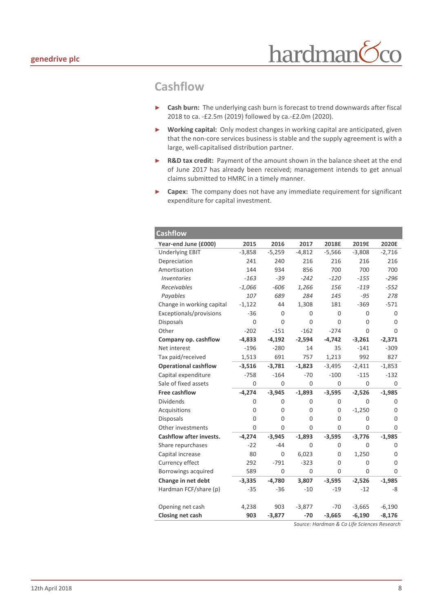### **Cashflow**

- ► **Cash burn:** The underlying cash burn is forecast to trend downwards after fiscal 2018 to ca. -£2.5m (2019) followed by ca.-£2.0m (2020).
- ► **Working capital:** Only modest changes in working capital are anticipated, given that the non-core services business is stable and the supply agreement is with a large, well-capitalised distribution partner.
- ► **R&D tax credit:** Payment of the amount shown in the balance sheet at the end of June 2017 has already been received; management intends to get annual claims submitted to HMRC in a timely manner.
- ► **Capex:** The company does not have any immediate requirement for significant expenditure for capital investment.

| <b>Cashflow</b>                |          |          |          |          |          |             |
|--------------------------------|----------|----------|----------|----------|----------|-------------|
| Year-end June (£000)           | 2015     | 2016     | 2017     | 2018E    | 2019E    | 2020E       |
| <b>Underlying EBIT</b>         | $-3,858$ | $-5,259$ | $-4,812$ | $-5,566$ | $-3,808$ | $-2,716$    |
| Depreciation                   | 241      | 240      | 216      | 216      | 216      | 216         |
| Amortisation                   | 144      | 934      | 856      | 700      | 700      | 700         |
| <b>Inventories</b>             | $-163$   | $-39$    | $-242$   | $-120$   | $-155$   | $-296$      |
| Receivables                    | $-1,066$ | $-606$   | 1,266    | 156      | $-119$   | $-552$      |
| Payables                       | 107      | 689      | 284      | 145      | $-95$    | 278         |
| Change in working capital      | $-1,122$ | 44       | 1,308    | 181      | $-369$   | $-571$      |
| Exceptionals/provisions        | $-36$    | 0        | 0        | 0        | 0        | 0           |
| <b>Disposals</b>               | 0        | 0        | 0        | 0        | 0        | $\mathbf 0$ |
| Other                          | $-202$   | $-151$   | $-162$   | $-274$   | 0        | 0           |
| Company op. cashflow           | $-4,833$ | $-4,192$ | $-2,594$ | $-4,742$ | $-3,261$ | $-2,371$    |
| Net interest                   | $-196$   | $-280$   | 14       | 35       | $-141$   | $-309$      |
| Tax paid/received              | 1,513    | 691      | 757      | 1,213    | 992      | 827         |
| <b>Operational cashflow</b>    | $-3,516$ | $-3,781$ | $-1,823$ | $-3,495$ | $-2,411$ | $-1,853$    |
| Capital expenditure            | $-758$   | $-164$   | $-70$    | $-100$   | $-115$   | $-132$      |
| Sale of fixed assets           | $\Omega$ | $\Omega$ | 0        | $\Omega$ | $\Omega$ | 0           |
| <b>Free cashflow</b>           | $-4,274$ | $-3,945$ | $-1,893$ | $-3,595$ | $-2,526$ | $-1,985$    |
| <b>Dividends</b>               | 0        | 0        | 0        | 0        | 0        | 0           |
| Acquisitions                   | 0        | 0        | 0        | 0        | $-1,250$ | 0           |
| <b>Disposals</b>               | 0        | 0        | $\Omega$ | 0        | 0        | 0           |
| Other investments              | $\Omega$ | 0        | $\Omega$ | 0        | 0        | 0           |
| <b>Cashflow after invests.</b> | $-4,274$ | $-3,945$ | $-1,893$ | $-3,595$ | $-3,776$ | $-1,985$    |
| Share repurchases              | $-22$    | $-44$    | 0        | 0        | 0        | 0           |
| Capital increase               | 80       | 0        | 6,023    | 0        | 1,250    | 0           |
| Currency effect                | 292      | $-791$   | $-323$   | 0        | 0        | 0           |
| Borrowings acquired            | 589      | 0        | 0        | 0        | 0        | 0           |
| Change in net debt             | $-3,335$ | $-4,780$ | 3,807    | $-3,595$ | $-2,526$ | $-1,985$    |
| Hardman FCF/share (p)          | $-35$    | $-36$    | $-10$    | $-19$    | $-12$    | -8          |
|                                |          |          |          |          |          |             |
| Opening net cash               | 4,238    | 903      | $-3,877$ | $-70$    | $-3,665$ | $-6,190$    |
| Closing net cash               | 903      | $-3,877$ | $-70$    | $-3,665$ | $-6,190$ | $-8,176$    |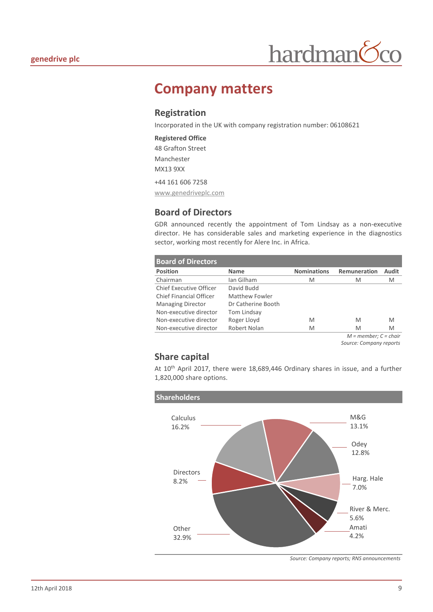

### **Company matters**

#### **Registration**

Incorporated in the UK with company registration number: 06108621

#### **Registered Office** 48 Grafton Street Manchester MX13 9XX

+44 161 606 7258

www.genedriveplc.com

### **Board of Directors**

GDR announced recently the appointment of Tom Lindsay as a non-executive director. He has considerable sales and marketing experience in the diagnostics sector, working most recently for Alere Inc. in Africa.

| <b>Board of Directors</b>      |                    |                    |              |       |
|--------------------------------|--------------------|--------------------|--------------|-------|
| <b>Position</b>                | <b>Name</b>        | <b>Nominations</b> | Remuneration | Audit |
| Chairman                       | Ian Gilham         | M                  | M            | M     |
| <b>Chief Executive Officer</b> | David Budd         |                    |              |       |
| Chief Financial Officer        | Matthew Fowler     |                    |              |       |
| <b>Managing Director</b>       | Dr Catherine Booth |                    |              |       |
| Non-executive director         | Tom Lindsay        |                    |              |       |
| Non-executive director         | Roger Lloyd        | M                  | M            | M     |
| Non-executive director         | Robert Nolan       | M                  | M            | M     |
|                                |                    |                    |              | .     |

*M = member; C = chair Source: Company reports*

#### **Share capital**

At 10th April 2017, there were 18,689,446 Ordinary shares in issue, and a further 1,820,000 share options.



*Source: Company reports; RNS announcements*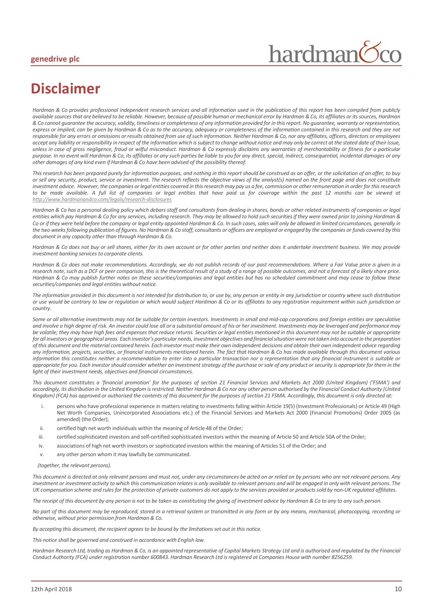#### **genedrive plc**

# hardman

### **Disclaimer**

*Hardman & Co provides professional independent research services and all information used in the publication of this report has been compiled from publicly available sources that are believed to be reliable. However, because of possible human or mechanical error by Hardman & Co, its affiliates or its sources, Hardman & Co cannot guarantee the accuracy, validity, timeliness or completeness of any information provided for in this report. No guarantee, warranty or representation, express or implied, can be given by Hardman & Co as to the accuracy, adequacy or completeness of the information contained in this research and they are not responsible for any errors or omissions or results obtained from use of such information. Neither Hardman & Co, nor any affiliates, officers, directors or employees accept any liability or responsibility in respect of the information which is subject to change without notice and may only be correct at the stated date of their issue, unless in case of gross negligence, fraud or wilful misconduct. Hardman & Co expressly disclaims any warranties of merchantability or fitness for a particular purpose. In no event will Hardman & Co, its affiliates or any such parties be liable to you for any direct, special, indirect, consequential, incidental damages or any other damages of any kind even if Hardman & Co have been advised of the possibility thereof.* 

*This research has been prepared purely for information purposes, and nothing in this report should be construed as an offer, or the solicitation of an offer, to buy or sell any security, product, service or investment. The research reflects the objective views of the analyst(s) named on the front page and does not constitute investment advice. However, the companies or legal entities covered in this research may pay us a fee, commission or other remuneration in order for this research to be made available. A full list of companies or legal entities that have paid us for coverage within the past 12 months can be viewed at <http://www.hardmanandco.com/legals/research-disclosures>*

Hardman & Co has a personal dealing policy which debars staff and consultants from dealing in shares, bonds or other related instruments of companies or legal *entities which pay Hardman & Co for any services, including research. They may be allowed to hold such securities if they were owned prior to joining Hardman &*  Co or if they were held before the company or legal entity appointed Hardman & Co. In such cases, sales will only be allowed in limited circumstances, generally in *the two weeks following publication of figures. No Hardman & Co staff, consultants or officers are employed or engaged by the companies or funds covered by this document in any capacity other than through Hardman & Co.* 

*Hardman & Co does not buy or sell shares, either for its own account or for other parties and neither does it undertake investment business. We may provide investment banking services to corporate clients.* 

*Hardman & Co does not make recommendations. Accordingly, we do not publish records of our past recommendations. Where a Fair Value price is given in a research note, such as a DCF or peer comparison, this is the theoretical result of a study of a range of possible outcomes, and not a forecast of a likely share price. Hardman & Co may publish further notes on these securities/companies and legal entities but has no scheduled commitment and may cease to follow these securities/companies and legal entities without notice.*

*The information provided in this document is not intended for distribution to, or use by, any person or entity in any jurisdiction or country where such distribution or use would be contrary to law or regulation or which would subject Hardman & Co or its affiliates to any registration requirement within such jurisdiction or country.* 

Some or all alternative investments may not be suitable for certain investors. Investments in small and mid-cap corporations and foreign entities are speculative *and involve a high degree of risk. An investor could lose all or a substantial amount of his or her investment. Investments may be leveraged and performance may be volatile; they may have high fees and expenses that reduce returns. Securities or legal entities mentioned in this document may not be suitable or appropriate*  for all investors or geographical areas. Each investor's particular needs, investment objectives and financial situation were not taken into account in the preparation *of this document and the material contained herein. Each investor must make their own independent decisions and obtain their own independent advice regarding any information, projects, securities, or financial instruments mentioned herein. The fact that Hardman & Co has made available through this document various information this constitutes neither a recommendation to enter into a particular transaction nor a representation that any financial instrument is suitable or appropriate for you. Each investor should consider whether an investment strategy of the purchase or sale of any product or security is appropriate for them in the light of their investment needs, objectives and financial circumstances.* 

*This document constitutes a 'financial promotion' for the purposes of section 21 Financial Services and Markets Act 2000 (United Kingdom) ('FSMA') and accordingly, its distribution in the United Kingdom is restricted. Neither Hardman & Co nor any other person authorised by the Financial Conduct Authority (United Kingdom) (FCA) has approved or authorised the contents of this document for the purposes of section 21 FSMA. Accordingly, this document is only directed at:*

- i. persons who have professional experience in matters relating to investments falling within Article 19(5) (Investment Professionals) or Article 49 (High Net Worth Companies, Unincorporated Associations etc.) of the Financial Services and Markets Act 2000 (Financial Promotions) Order 2005 (as amended) (the Order);
- ii. certified high net worth individuals within the meaning of Article 48 of the Order;
- iii. certified sophisticated investors and self-certified sophisticated investors within the meaning of Article 50 and Article 50A of the Order;
- iv. associations of high net worth investors or sophisticated investors within the meaning of Articles 51 of the Order; and
- v. any other person whom it may lawfully be communicated.

#### *(together, the relevant persons).*

*This document is directed at only relevant persons and must not, under any circumstances be acted on or relied on by persons who are not relevant persons. Any investment or investment activity to which this communication relates is only available to relevant persons and will be engaged in only with relevant persons. The UK compensation scheme and rules for the protection of private customers do not apply to the services provided or products sold by non-UK regulated affiliates.* 

*The receipt of this document by any person is not to be taken as constituting the giving of investment advice by Hardman & Co to any to any such person.* 

*No part of this document may be reproduced, stored in a retrieval system or transmitted in any form or by any means, mechanical, photocopying, recording or otherwise, without prior permission from Hardman & Co.*

*By accepting this document, the recipient agrees to be bound by the limitations set out in this notice.* 

*This notice shall be governed and construed in accordance with English law.* 

*Hardman Research Ltd, trading as Hardman & Co, is an appointed representative of Capital Markets Strategy Ltd and is authorised and regulated by the Financial Conduct Authority (FCA) under registration number 600843. Hardman Research Ltd is registered at Companies House with number 8256259.*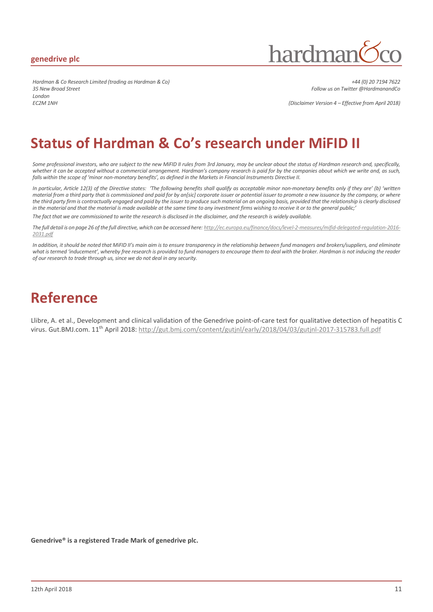#### **genedrive plc**

hardmar

*Hardman & Co Research Limited (trading as Hardman & Co) +44 (0) 20 7194 7622 35 New Broad Street Follow us on Twitter @HardmanandCo London EC2M 1NH (Disclaimer Version 4 – Effective from April 2018)*

### **Status of Hardman & Co's research under MiFID II**

*Some professional investors, who are subject to the new MiFID II rules from 3rd January, may be unclear about the status of Hardman research and, specifically, whether it can be accepted without a commercial arrangement. Hardman's company research is paid for by the companies about which we write and, as such, falls within the scope of 'minor non-monetary benefits', as defined in the Markets in Financial Instruments Directive II.*

*In particular, Article 12(3) of the Directive states: 'The following benefits shall qualify as acceptable minor non-monetary benefits only if they are' (b) 'written material from a third party that is commissioned and paid for by an[sic] corporate issuer or potential issuer to promote a new issuance by the company, or where*  the third party firm is contractually engaged and paid by the issuer to produce such material on an ongoing basis, provided that the relationship is clearly disclosed *in the material and that the material is made available at the same time to any investment firms wishing to receive it or to the general public;'*

*The fact that we are commissioned to write the research is disclosed in the disclaimer, and the research is widely available.*

*The full detail is on page 26 of the full directive, which can be accessed here: http://ec.europa.eu/finance/docs/level-2-measures/mifid-delegated-regulation-2016- 2031.pdf*

In addition, it should be noted that MiFID II's main aim is to ensure transparency in the relationship between fund managers and brokers/suppliers, and eliminate *what is termed 'inducement', whereby free research is provided to fund managers to encourage them to deal with the broker. Hardman is not inducing the reader of our research to trade through us, since we do not deal in any security.*

### **Reference**

Llibre, A. et al., Development and clinical validation of the Genedrive point-of-care test for qualitative detection of hepatitis C virus. Gut.BMJ.com. 11<sup>th</sup> April 2018: http://gut.bmj.com/content/gutjnl/early/2018/04/03/gutjnl-2017-315783.full.pdf

**Genedrive® is a registered Trade Mark of genedrive plc.**